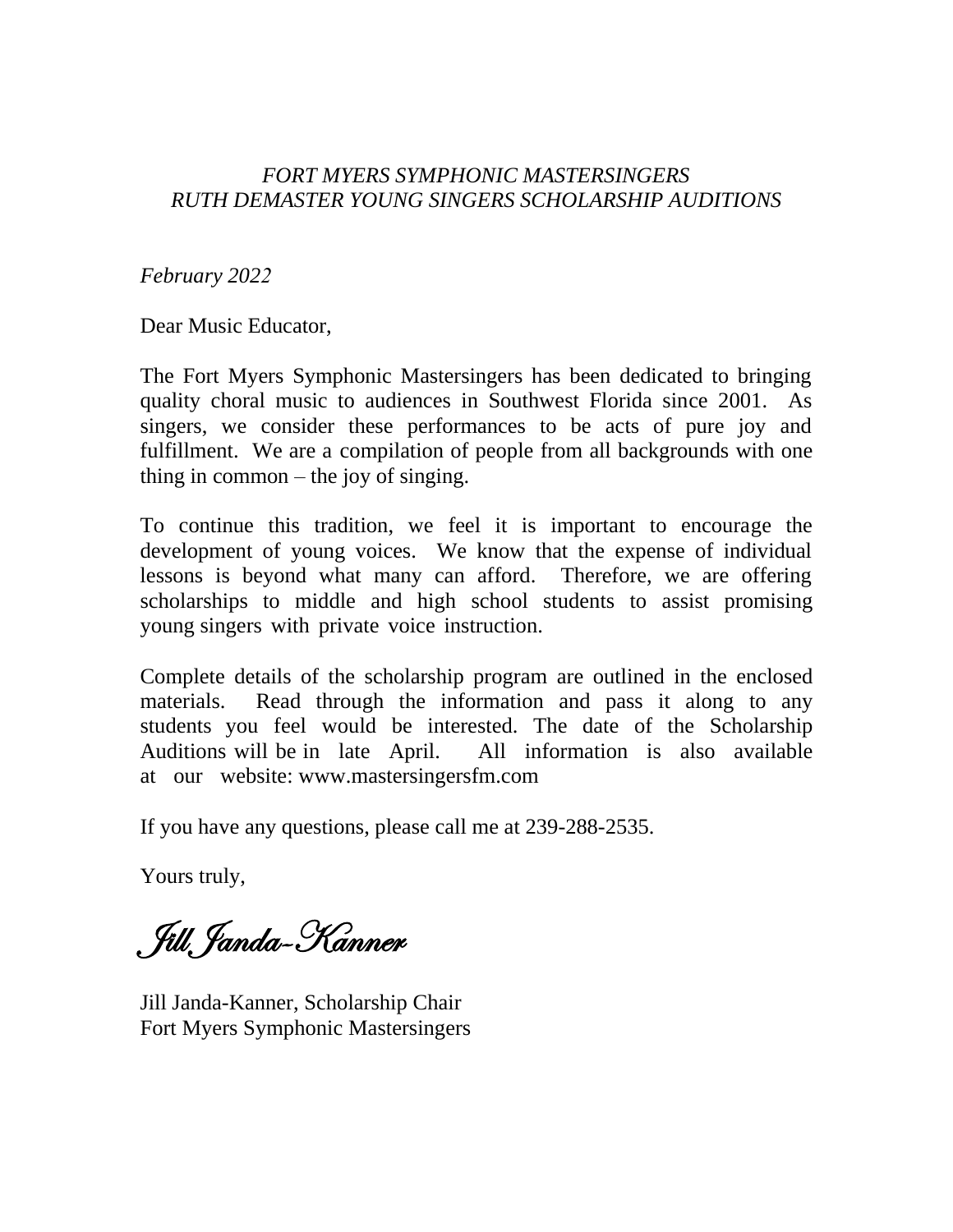### *FORT MYERS SYMPHONIC MASTERSINGERS RUTH DEMASTER YOUNG SINGERS SCHOLARSHIP AUDITIONS*

*February 2022*

Dear Music Educator,

The Fort Myers Symphonic Mastersingers has been dedicated to bringing quality choral music to audiences in Southwest Florida since 2001. As singers, we consider these performances to be acts of pure joy and fulfillment. We are a compilation of people from all backgrounds with one thing in common – the joy of singing.

To continue this tradition, we feel it is important to encourage the development of young voices. We know that the expense of individual lessons is beyond what many can afford. Therefore, we are offering scholarships to middle and high school students to assist promising young singers with private voice instruction.

Complete details of the scholarship program are outlined in the enclosed materials. Read through the information and pass it along to any students you feel would be interested. The date of the Scholarship Auditions will be in late April. All information is also available at our website: www.mastersingersfm.com

If you have any questions, please call me at 239-288-2535.

Yours truly,

Jill Janda-Kanner

Jill Janda-Kanner, Scholarship Chair Fort Myers Symphonic Mastersingers